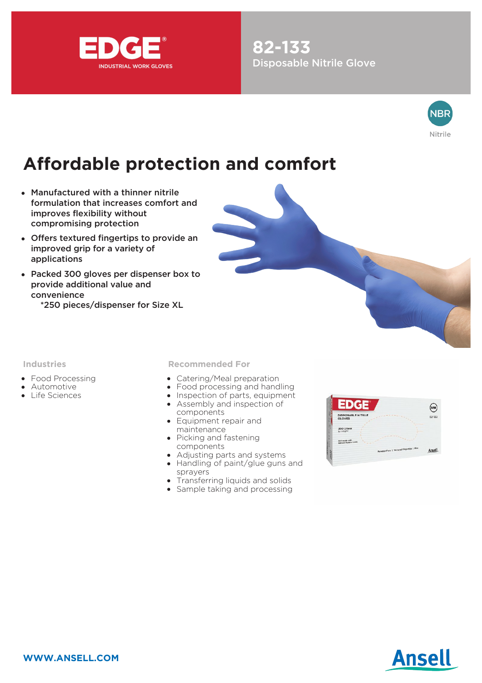

**82-133** Disposable Nitrile Glove



# **Affordable protection and comfort**

- Manufactured with a thinner nitrile formulation that increases comfort and improves flexibility without compromising protection
- Offers textured fingertips to provide an improved grip for a variety of applications
- Packed 300 gloves per dispenser box to provide additional value and convenience
	- \*250 pieces/dispenser for Size XL



#### **Industries**

- Food Processing
- Automotive
- Life Sciences

**Recommended For**

- Catering/Meal preparation
- Food processing and handling  $\bullet$
- Inspection of parts, equipment
- Assembly and inspection of components
- Equipment repair and maintenance
- Picking and fastening components
- Adjusting parts and systems
- Handling of paint/glue guns and sprayers
- Transferring liquids and solids
- Sample taking and processing